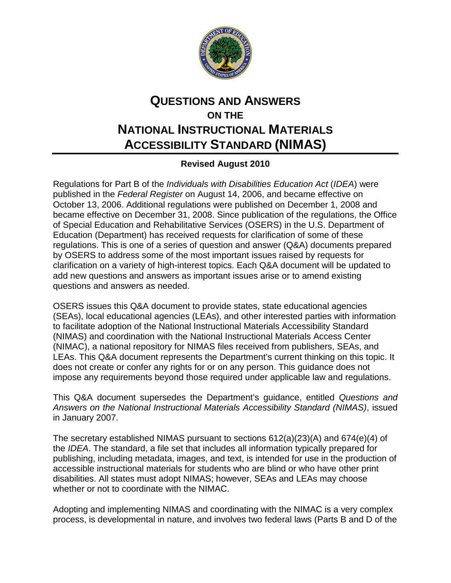

## **QUESTIONS AND ANSWERS ON THE NATIONAL INSTRUCTIONAL MATERIALS ACCESSIBILITY STANDARD (NIMAS)**

## **Revised August 2010**

Regulations for Part B of the *Individuals with Disabilities Education Act* (*IDEA*) were published in the *Federal Register* on August 14, 2006, and became effective on October 13, 2006. Additional regulations were published on December 1, 2008 and became effective on December 31, 2008. Since publication of the regulations, the Office of Special Education and Rehabilitative Services (OSERS) in the U.S. Department of Education (Department) has received requests for clarification of some of these regulations. This is one of a series of question and answer (Q&A) documents prepared by OSERS to address some of the most important issues raised by requests for clarification on a variety of high-interest topics. Each Q&A document will be updated to add new questions and answers as important issues arise or to amend existing questions and answers as needed.

OSERS issues this Q&A document to provide states, state educational agencies (SEAs), local educational agencies (LEAs), and other interested parties with information to facilitate adoption of the National Instructional Materials Accessibility Standard (NIMAS) and coordination with the National Instructional Materials Access Center (NIMAC), a national repository for NIMAS files received from publishers, SEAs, and LEAs. This Q&A document represents the Department's current thinking on this topic. It does not create or confer any rights for or on any person. This guidance does not impose any requirements beyond those required under applicable law and regulations.

This Q&A document supersedes the Department's guidance, entitled *Questions and Answers on the National Instructional Materials Accessibility Standard (NIMAS)*, issued in January 2007.

The secretary established NIMAS pursuant to sections 612(a)(23)(A) and 674(e)(4) of the *IDEA*. The standard, a file set that includes all information typically prepared for publishing, including metadata, images, and text, is intended for use in the production of accessible instructional materials for students who are blind or who have other print disabilities. All states must adopt NIMAS; however, SEAs and LEAs may choose whether or not to coordinate with the NIMAC.

Adopting and implementing NIMAS and coordinating with the NIMAC is a very complex process, is developmental in nature, and involves two federal laws (Parts B and D of the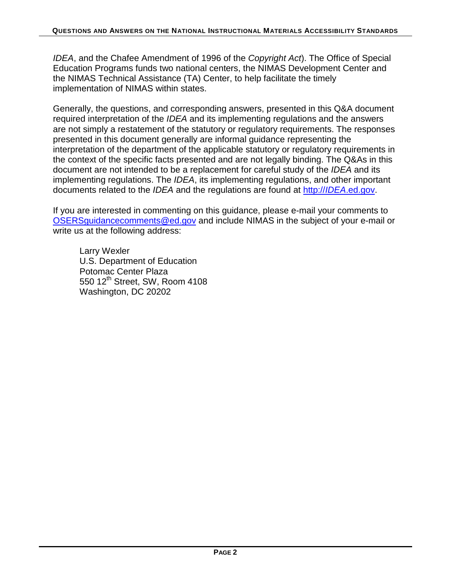*IDEA*, and the Chafee Amendment of 1996 of the *Copyright Act*). The Office of Special Education Programs funds two national centers, the NIMAS Development Center and the NIMAS Technical Assistance (TA) Center, to help facilitate the timely implementation of NIMAS within states.

Generally, the questions, and corresponding answers, presented in this Q&A document required interpretation of the *IDEA* and its implementing regulations and the answers are not simply a restatement of the statutory or regulatory requirements. The responses presented in this document generally are informal guidance representing the interpretation of the department of the applicable statutory or regulatory requirements in the context of the specific facts presented and are not legally binding. The Q&As in this document are not intended to be a replacement for careful study of the *IDEA* and its implementing regulations. The *IDEA*, its implementing regulations, and other important documents related to the *IDEA* and the regulations are found at http://*IDEA*[.ed.gov.](http://idea.ed.gov/)

If you are interested in commenting on this guidance, please e-mail your comments to [OSERSguidancecomments@ed.gov](mailto:OSERSguidancecomments@ed.gov) and include NIMAS in the subject of your e-mail or write us at the following address:

Larry Wexler U.S. Department of Education Potomac Center Plaza 550 12<sup>th</sup> Street, SW, Room 4108 Washington, DC 20202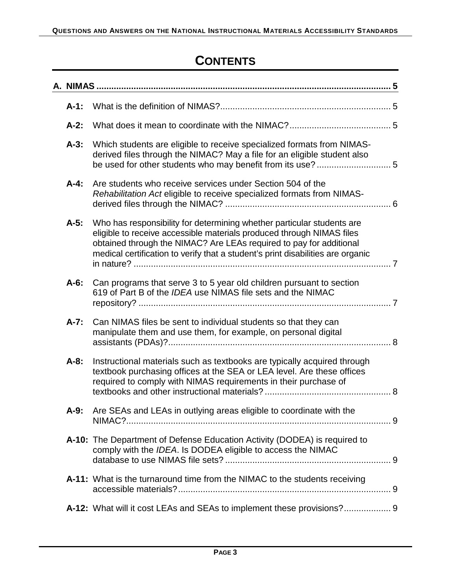## **CONTENTS**

| $A-1$ :   |                                                                                                                                                                                                                                                                                                           |  |
|-----------|-----------------------------------------------------------------------------------------------------------------------------------------------------------------------------------------------------------------------------------------------------------------------------------------------------------|--|
| $A-2:$    |                                                                                                                                                                                                                                                                                                           |  |
| $A-3$ :   | Which students are eligible to receive specialized formats from NIMAS-<br>derived files through the NIMAC? May a file for an eligible student also                                                                                                                                                        |  |
| $A-4$ :   | Are students who receive services under Section 504 of the<br>Rehabilitation Act eligible to receive specialized formats from NIMAS-                                                                                                                                                                      |  |
| $A-5$ :   | Who has responsibility for determining whether particular students are<br>eligible to receive accessible materials produced through NIMAS files<br>obtained through the NIMAC? Are LEAs required to pay for additional<br>medical certification to verify that a student's print disabilities are organic |  |
| $A-6$ :   | Can programs that serve 3 to 5 year old children pursuant to section<br>619 of Part B of the IDEA use NIMAS file sets and the NIMAC                                                                                                                                                                       |  |
| $A - 7$ : | Can NIMAS files be sent to individual students so that they can<br>manipulate them and use them, for example, on personal digital                                                                                                                                                                         |  |
| $A-8$ :   | Instructional materials such as textbooks are typically acquired through<br>textbook purchasing offices at the SEA or LEA level. Are these offices<br>required to comply with NIMAS requirements in their purchase of                                                                                     |  |
| $A-9$ :   | Are SEAs and LEAs in outlying areas eligible to coordinate with the                                                                                                                                                                                                                                       |  |
|           | A-10: The Department of Defense Education Activity (DODEA) is required to<br>comply with the IDEA. Is DODEA eligible to access the NIMAC                                                                                                                                                                  |  |
|           | A-11: What is the turnaround time from the NIMAC to the students receiving                                                                                                                                                                                                                                |  |
|           | A-12: What will it cost LEAs and SEAs to implement these provisions? 9                                                                                                                                                                                                                                    |  |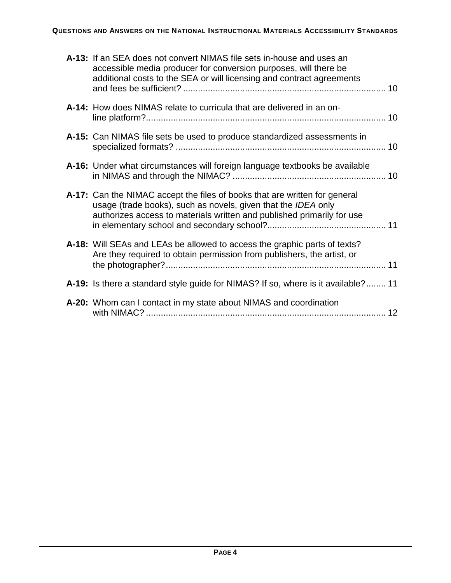| A-13: If an SEA does not convert NIMAS file sets in-house and uses an<br>accessible media producer for conversion purposes, will there be<br>additional costs to the SEA or will licensing and contract agreements    |
|-----------------------------------------------------------------------------------------------------------------------------------------------------------------------------------------------------------------------|
| A-14: How does NIMAS relate to curricula that are delivered in an on-                                                                                                                                                 |
| A-15: Can NIMAS file sets be used to produce standardized assessments in                                                                                                                                              |
| A-16: Under what circumstances will foreign language textbooks be available                                                                                                                                           |
| A-17: Can the NIMAC accept the files of books that are written for general<br>usage (trade books), such as novels, given that the IDEA only<br>authorizes access to materials written and published primarily for use |
| A-18: Will SEAs and LEAs be allowed to access the graphic parts of texts?<br>Are they required to obtain permission from publishers, the artist, or                                                                   |
| A-19: Is there a standard style guide for NIMAS? If so, where is it available? 11                                                                                                                                     |
| A-20: Whom can I contact in my state about NIMAS and coordination                                                                                                                                                     |
|                                                                                                                                                                                                                       |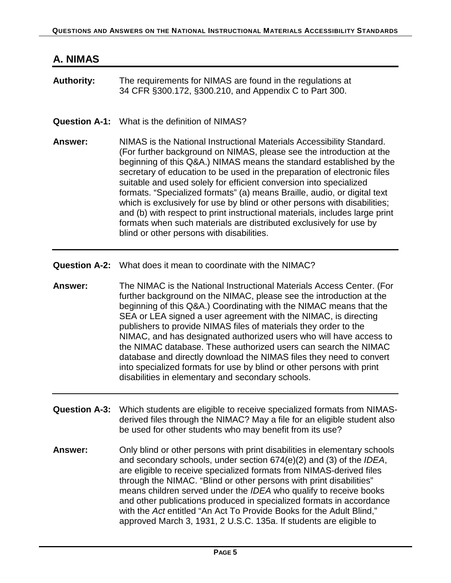## **A. NIMAS**

<span id="page-4-0"></span>

| <b>Authority:</b> | The requirements for NIMAS are found in the regulations at<br>34 CFR §300.172, §300.210, and Appendix C to Part 300.                                                                                                                                                                                                                                                                                                                                                                                                                                                                                                                                                                                                              |
|-------------------|-----------------------------------------------------------------------------------------------------------------------------------------------------------------------------------------------------------------------------------------------------------------------------------------------------------------------------------------------------------------------------------------------------------------------------------------------------------------------------------------------------------------------------------------------------------------------------------------------------------------------------------------------------------------------------------------------------------------------------------|
|                   | <b>Question A-1:</b> What is the definition of NIMAS?                                                                                                                                                                                                                                                                                                                                                                                                                                                                                                                                                                                                                                                                             |
| <b>Answer:</b>    | NIMAS is the National Instructional Materials Accessibility Standard.<br>(For further background on NIMAS, please see the introduction at the<br>beginning of this Q&A.) NIMAS means the standard established by the<br>secretary of education to be used in the preparation of electronic files<br>suitable and used solely for efficient conversion into specialized<br>formats. "Specialized formats" (a) means Braille, audio, or digital text<br>which is exclusively for use by blind or other persons with disabilities;<br>and (b) with respect to print instructional materials, includes large print<br>formats when such materials are distributed exclusively for use by<br>blind or other persons with disabilities. |

<span id="page-4-1"></span>**Question A-2:** What does it mean to coordinate with the NIMAC?

**Answer:** The NIMAC is the National Instructional Materials Access Center. (For further background on the NIMAC, please see the introduction at the beginning of this Q&A.) Coordinating with the NIMAC means that the SEA or LEA signed a user agreement with the NIMAC, is directing publishers to provide NIMAS files of materials they order to the NIMAC, and has designated authorized users who will have access to the NIMAC database. These authorized users can search the NIMAC database and directly download the NIMAS files they need to convert into specialized formats for use by blind or other persons with print disabilities in elementary and secondary schools.

- <span id="page-4-2"></span>**Question A-3:** Which students are eligible to receive specialized formats from NIMASderived files through the NIMAC? May a file for an eligible student also be used for other students who may benefit from its use?
- **Answer:** Only blind or other persons with print disabilities in elementary schools and secondary schools, under section 674(e)(2) and (3) of the *IDEA*, are eligible to receive specialized formats from NIMAS-derived files through the NIMAC. "Blind or other persons with print disabilities" means children served under the *IDEA* who qualify to receive books and other publications produced in specialized formats in accordance with the *Act* entitled "An Act To Provide Books for the Adult Blind," approved March 3, 1931, 2 U.S.C. 135a. If students are eligible to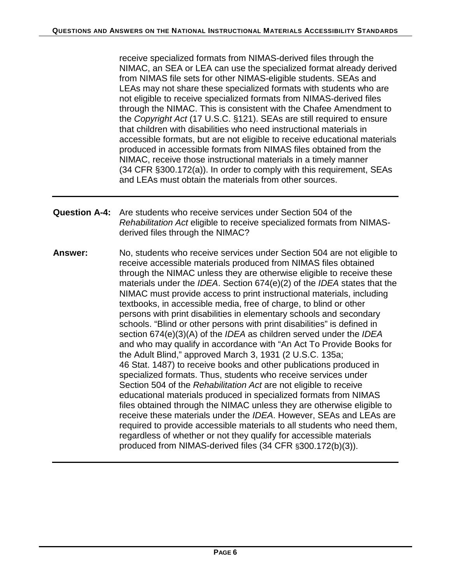receive specialized formats from NIMAS-derived files through the NIMAC, an SEA or LEA can use the specialized format already derived from NIMAS file sets for other NIMAS-eligible students. SEAs and LEAs may not share these specialized formats with students who are not eligible to receive specialized formats from NIMAS-derived files through the NIMAC. This is consistent with the Chafee Amendment to the *Copyright Act* (17 U.S.C. §121). SEAs are still required to ensure that children with disabilities who need instructional materials in accessible formats, but are not eligible to receive educational materials produced in accessible formats from NIMAS files obtained from the NIMAC, receive those instructional materials in a timely manner (34 CFR §300.172(a)). In order to comply with this requirement, SEAs and LEAs must obtain the materials from other sources.

- <span id="page-5-0"></span>**Question A-4:** Are students who receive services under Section 504 of the *Rehabilitation Act* eligible to receive specialized formats from NIMASderived files through the NIMAC?
- **Answer:** No, students who receive services under Section 504 are not eligible to receive accessible materials produced from NIMAS files obtained through the NIMAC unless they are otherwise eligible to receive these materials under the *IDEA*. Section 674(e)(2) of the *IDEA* states that the NIMAC must provide access to print instructional materials, including textbooks, in accessible media, free of charge, to blind or other persons with print disabilities in elementary schools and secondary schools. "Blind or other persons with print disabilities" is defined in section 674(e)(3)(A) of the *IDEA* as children served under the *IDEA* and who may qualify in accordance with "An Act To Provide Books for the Adult Blind," approved March 3, 1931 (2 U.S.C. 135a; 46 Stat. 1487) to receive books and other publications produced in specialized formats. Thus, students who receive services under Section 504 of the *Rehabilitation Act* are not eligible to receive educational materials produced in specialized formats from NIMAS files obtained through the NIMAC unless they are otherwise eligible to receive these materials under the *IDEA*. However, SEAs and LEAs are required to provide accessible materials to all students who need them, regardless of whether or not they qualify for accessible materials produced from NIMAS-derived files (34 CFR §300.172(b)(3)).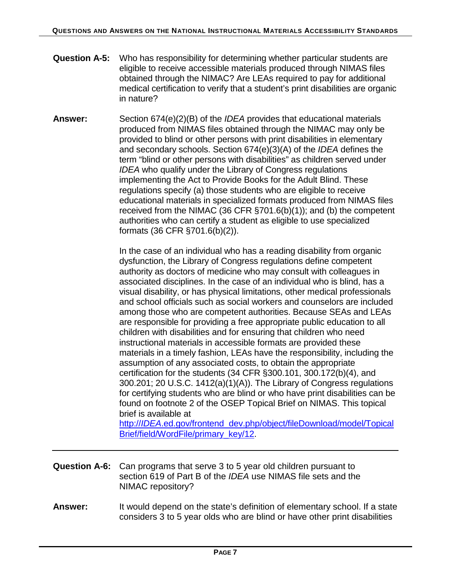- <span id="page-6-0"></span>**Question A-5:** Who has responsibility for determining whether particular students are eligible to receive accessible materials produced through NIMAS files obtained through the NIMAC? Are LEAs required to pay for additional medical certification to verify that a student's print disabilities are organic in nature?
- **Answer:** Section 674(e)(2)(B) of the *IDEA* provides that educational materials produced from NIMAS files obtained through the NIMAC may only be provided to blind or other persons with print disabilities in elementary and secondary schools. Section 674(e)(3)(A) of the *IDEA* defines the term "blind or other persons with disabilities" as children served under *IDEA* who qualify under the Library of Congress regulations implementing the Act to Provide Books for the Adult Blind. These regulations specify (a) those students who are eligible to receive educational materials in specialized formats produced from NIMAS files received from the NIMAC (36 CFR §701.6(b)(1)); and (b) the competent authorities who can certify a student as eligible to use specialized formats (36 CFR §701.6(b)(2)).

In the case of an individual who has a reading disability from organic dysfunction, the Library of Congress regulations define competent authority as doctors of medicine who may consult with colleagues in associated disciplines. In the case of an individual who is blind, has a visual disability, or has physical limitations, other medical professionals and school officials such as social workers and counselors are included among those who are competent authorities. Because SEAs and LEAs are responsible for providing a free appropriate public education to all children with disabilities and for ensuring that children who need instructional materials in accessible formats are provided these materials in a timely fashion, LEAs have the responsibility, including the assumption of any associated costs, to obtain the appropriate certification for the students (34 CFR §300.101, 300.172(b)(4), and 300.201; 20 U.S.C. 1412(a)(1)(A)). The Library of Congress regulations for certifying students who are blind or who have print disabilities can be found on footnote 2 of the OSEP Topical Brief on NIMAS. This topical brief is available at

http://*IDEA*[.ed.gov/frontend\\_dev.php/object/fileDownload/model/Topical](http://idea.ed.gov/frontend_dev.php/object/fileDownload/model/TopicalBrief/field/WordFile/primary_key/12) [Brief/field/WordFile/primary\\_key/12.](http://idea.ed.gov/frontend_dev.php/object/fileDownload/model/TopicalBrief/field/WordFile/primary_key/12)

- <span id="page-6-1"></span>**Question A-6:** Can programs that serve 3 to 5 year old children pursuant to section 619 of Part B of the *IDEA* use NIMAS file sets and the NIMAC repository?
- **Answer:** It would depend on the state's definition of elementary school. If a state considers 3 to 5 year olds who are blind or have other print disabilities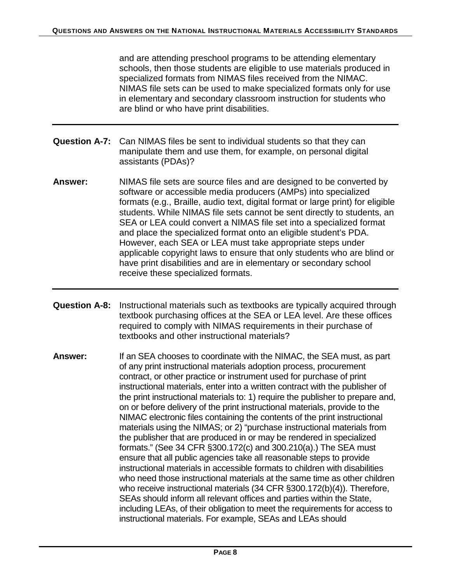and are attending preschool programs to be attending elementary schools, then those students are eligible to use materials produced in specialized formats from NIMAS files received from the NIMAC. NIMAS file sets can be used to make specialized formats only for use in elementary and secondary classroom instruction for students who are blind or who have print disabilities.

- <span id="page-7-0"></span>**Question A-7:** Can NIMAS files be sent to individual students so that they can manipulate them and use them, for example, on personal digital assistants (PDAs)?
- **Answer:** NIMAS file sets are source files and are designed to be converted by software or accessible media producers (AMPs) into specialized formats (e.g., Braille, audio text, digital format or large print) for eligible students. While NIMAS file sets cannot be sent directly to students, an SEA or LEA could convert a NIMAS file set into a specialized format and place the specialized format onto an eligible student's PDA. However, each SEA or LEA must take appropriate steps under applicable copyright laws to ensure that only students who are blind or have print disabilities and are in elementary or secondary school receive these specialized formats.
- <span id="page-7-1"></span>**Question A-8:** Instructional materials such as textbooks are typically acquired through textbook purchasing offices at the SEA or LEA level. Are these offices required to comply with NIMAS requirements in their purchase of textbooks and other instructional materials?
- **Answer:** If an SEA chooses to coordinate with the NIMAC, the SEA must, as part of any print instructional materials adoption process, procurement contract, or other practice or instrument used for purchase of print instructional materials, enter into a written contract with the publisher of the print instructional materials to: 1) require the publisher to prepare and, on or before delivery of the print instructional materials, provide to the NIMAC electronic files containing the contents of the print instructional materials using the NIMAS; or 2) "purchase instructional materials from the publisher that are produced in or may be rendered in specialized formats." (See 34 CFR §300.172(c) and 300.210(a).) The SEA must ensure that all public agencies take all reasonable steps to provide instructional materials in accessible formats to children with disabilities who need those instructional materials at the same time as other children who receive instructional materials (34 CFR §300.172(b)(4)). Therefore, SEAs should inform all relevant offices and parties within the State, including LEAs, of their obligation to meet the requirements for access to instructional materials. For example, SEAs and LEAs should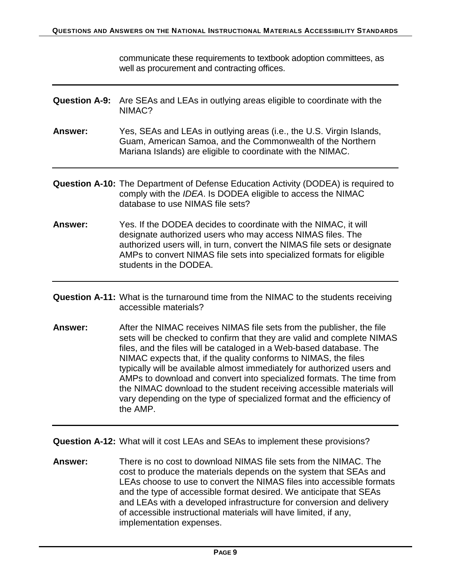communicate these requirements to textbook adoption committees, as well as procurement and contracting offices.

- <span id="page-8-0"></span>**Question A-9:** Are SEAs and LEAs in outlying areas eligible to coordinate with the NIMAC?
- **Answer:** Yes, SEAs and LEAs in outlying areas (i.e., the U.S. Virgin Islands, Guam, American Samoa, and the Commonwealth of the Northern Mariana Islands) are eligible to coordinate with the NIMAC.
- <span id="page-8-1"></span>**Question A-10:** The Department of Defense Education Activity (DODEA) is required to comply with the *IDEA*. Is DODEA eligible to access the NIMAC database to use NIMAS file sets?
- **Answer:** Yes. If the DODEA decides to coordinate with the NIMAC, it will designate authorized users who may access NIMAS files. The authorized users will, in turn, convert the NIMAS file sets or designate AMPs to convert NIMAS file sets into specialized formats for eligible students in the DODEA.
- <span id="page-8-2"></span>**Question A-11:** What is the turnaround time from the NIMAC to the students receiving accessible materials?
- **Answer:** After the NIMAC receives NIMAS file sets from the publisher, the file sets will be checked to confirm that they are valid and complete NIMAS files, and the files will be cataloged in a Web-based database. The NIMAC expects that, if the quality conforms to NIMAS, the files typically will be available almost immediately for authorized users and AMPs to download and convert into specialized formats. The time from the NIMAC download to the student receiving accessible materials will vary depending on the type of specialized format and the efficiency of the AMP.

<span id="page-8-3"></span>**Question A-12:** What will it cost LEAs and SEAs to implement these provisions?

**Answer:** There is no cost to download NIMAS file sets from the NIMAC. The cost to produce the materials depends on the system that SEAs and LEAs choose to use to convert the NIMAS files into accessible formats and the type of accessible format desired. We anticipate that SEAs and LEAs with a developed infrastructure for conversion and delivery of accessible instructional materials will have limited, if any, implementation expenses.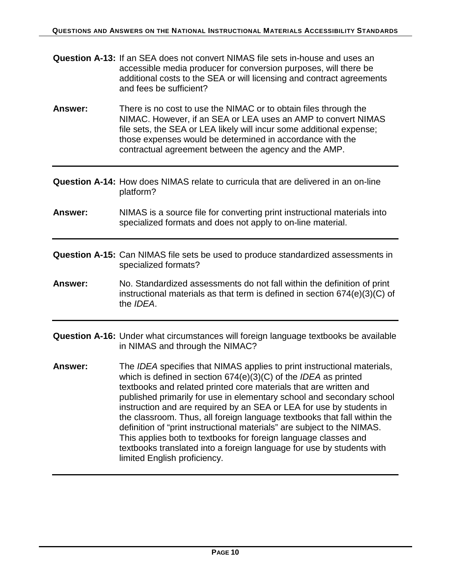- <span id="page-9-0"></span>**Question A-13:** If an SEA does not convert NIMAS file sets in-house and uses an accessible media producer for conversion purposes, will there be additional costs to the SEA or will licensing and contract agreements and fees be sufficient?
- **Answer:** There is no cost to use the NIMAC or to obtain files through the NIMAC. However, if an SEA or LEA uses an AMP to convert NIMAS file sets, the SEA or LEA likely will incur some additional expense; those expenses would be determined in accordance with the contractual agreement between the agency and the AMP.
- <span id="page-9-1"></span>**Question A-14:** How does NIMAS relate to curricula that are delivered in an on-line platform?
- **Answer:** NIMAS is a source file for converting print instructional materials into specialized formats and does not apply to on-line material.
- <span id="page-9-2"></span>**Question A-15:** Can NIMAS file sets be used to produce standardized assessments in specialized formats?
- **Answer:** No. Standardized assessments do not fall within the definition of print instructional materials as that term is defined in section 674(e)(3)(C) of the *IDEA*.
- <span id="page-9-3"></span>**Question A-16:** Under what circumstances will foreign language textbooks be available in NIMAS and through the NIMAC?
- **Answer:** The *IDEA* specifies that NIMAS applies to print instructional materials, which is defined in section 674(e)(3)(C) of the *IDEA* as printed textbooks and related printed core materials that are written and published primarily for use in elementary school and secondary school instruction and are required by an SEA or LEA for use by students in the classroom. Thus, all foreign language textbooks that fall within the definition of "print instructional materials" are subject to the NIMAS. This applies both to textbooks for foreign language classes and textbooks translated into a foreign language for use by students with limited English proficiency.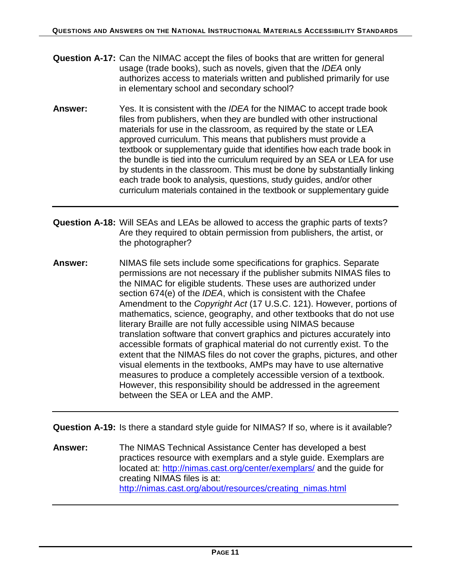- <span id="page-10-0"></span>**Question A-17:** Can the NIMAC accept the files of books that are written for general usage (trade books), such as novels, given that the *IDEA* only authorizes access to materials written and published primarily for use in elementary school and secondary school?
- **Answer:** Yes. It is consistent with the *IDEA* for the NIMAC to accept trade book files from publishers, when they are bundled with other instructional materials for use in the classroom, as required by the state or LEA approved curriculum. This means that publishers must provide a textbook or supplementary guide that identifies how each trade book in the bundle is tied into the curriculum required by an SEA or LEA for use by students in the classroom. This must be done by substantially linking each trade book to analysis, questions, study guides, and/or other curriculum materials contained in the textbook or supplementary guide
- <span id="page-10-1"></span>**Question A-18:** Will SEAs and LEAs be allowed to access the graphic parts of texts? Are they required to obtain permission from publishers, the artist, or the photographer?
- **Answer:** NIMAS file sets include some specifications for graphics. Separate permissions are not necessary if the publisher submits NIMAS files to the NIMAC for eligible students. These uses are authorized under section 674(e) of the *IDEA*, which is consistent with the Chafee Amendment to the *Copyright Act* (17 U.S.C. 121). However, portions of mathematics, science, geography, and other textbooks that do not use literary Braille are not fully accessible using NIMAS because translation software that convert graphics and pictures accurately into accessible formats of graphical material do not currently exist. To the extent that the NIMAS files do not cover the graphs, pictures, and other visual elements in the textbooks, AMPs may have to use alternative measures to produce a completely accessible version of a textbook. However, this responsibility should be addressed in the agreement between the SEA or LEA and the AMP.

<span id="page-10-2"></span>**Question A-19:** Is there a standard style guide for NIMAS? If so, where is it available?

**Answer:** The NIMAS Technical Assistance Center has developed a best practices resource with exemplars and a style guide. Exemplars are located at: <http://nimas.cast.org/center/exemplars/> and the guide for creating NIMAS files is at: [http://nimas.cast.org/about/resources/creating\\_nimas.html](http://nimas.cast.org/about/resources/creating_nimas.html)